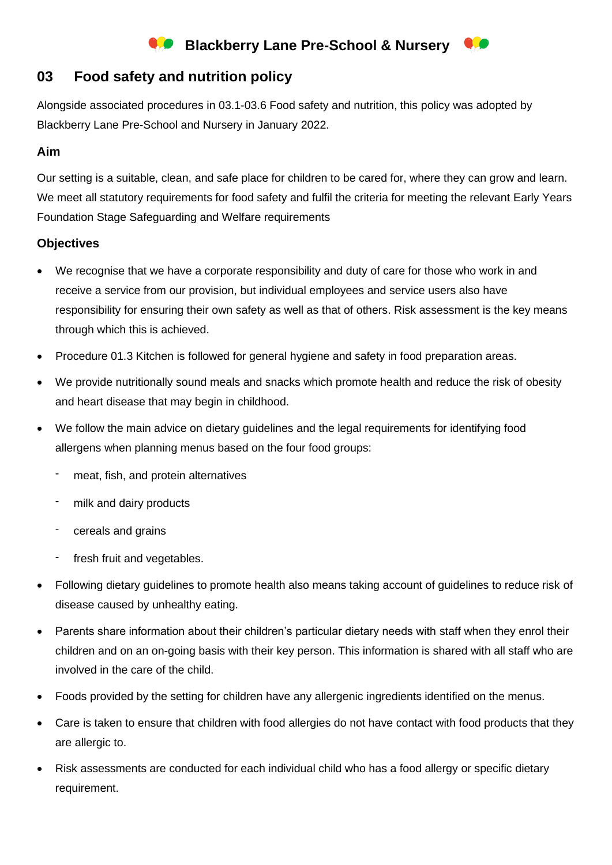# **Blackberry Lane Pre-School & Nursery**

# **03 Food safety and nutrition policy**

Alongside associated procedures in 03.1-03.6 Food safety and nutrition, this policy was adopted by Blackberry Lane Pre-School and Nursery in January 2022.

#### **Aim**

Our setting is a suitable, clean, and safe place for children to be cared for, where they can grow and learn. We meet all statutory requirements for food safety and fulfil the criteria for meeting the relevant Early Years Foundation Stage Safeguarding and Welfare requirements

#### **Objectives**

- We recognise that we have a corporate responsibility and duty of care for those who work in and receive a service from our provision, but individual employees and service users also have responsibility for ensuring their own safety as well as that of others. Risk assessment is the key means through which this is achieved.
- Procedure 01.3 Kitchen is followed for general hygiene and safety in food preparation areas.
- We provide nutritionally sound meals and snacks which promote health and reduce the risk of obesity and heart disease that may begin in childhood.
- We follow the main advice on dietary guidelines and the legal requirements for identifying food allergens when planning menus based on the four food groups:
	- meat, fish, and protein alternatives
	- milk and dairy products
	- cereals and grains
	- fresh fruit and vegetables.
- Following dietary guidelines to promote health also means taking account of guidelines to reduce risk of disease caused by unhealthy eating.
- Parents share information about their children's particular dietary needs with staff when they enrol their children and on an on-going basis with their key person. This information is shared with all staff who are involved in the care of the child.
- Foods provided by the setting for children have any allergenic ingredients identified on the menus.
- Care is taken to ensure that children with food allergies do not have contact with food products that they are allergic to.
- Risk assessments are conducted for each individual child who has a food allergy or specific dietary requirement.